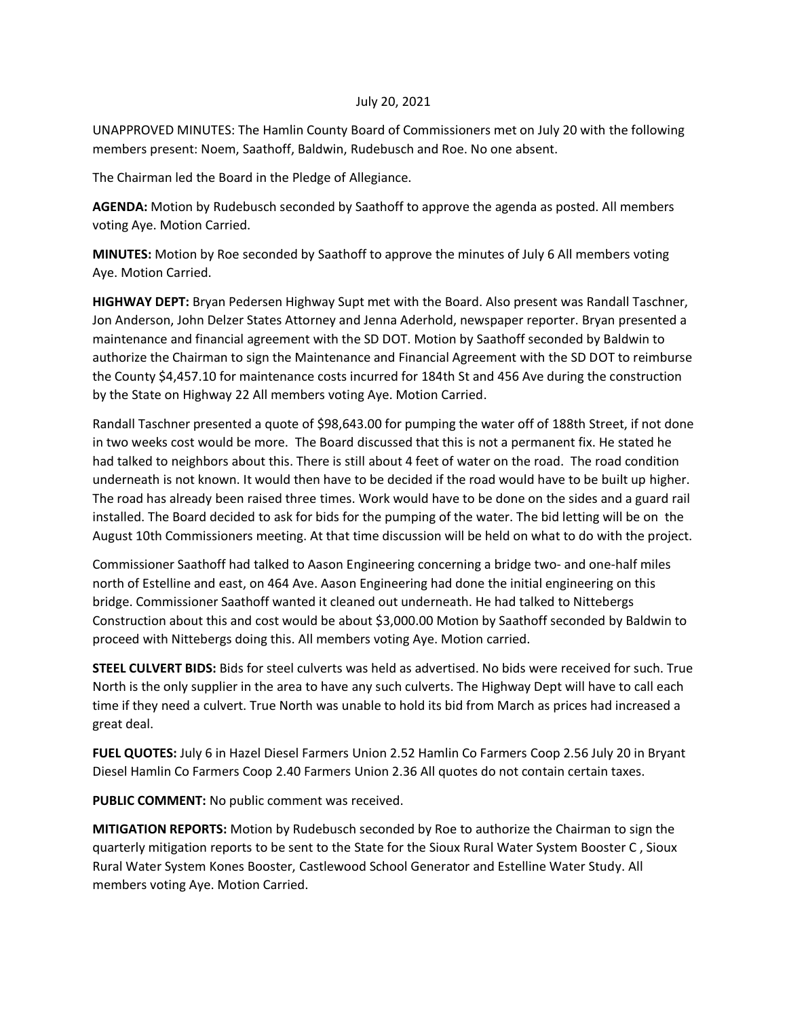## July 20, 2021

UNAPPROVED MINUTES: The Hamlin County Board of Commissioners met on July 20 with the following members present: Noem, Saathoff, Baldwin, Rudebusch and Roe. No one absent.

The Chairman led the Board in the Pledge of Allegiance.

**AGENDA:** Motion by Rudebusch seconded by Saathoff to approve the agenda as posted. All members voting Aye. Motion Carried.

**MINUTES:** Motion by Roe seconded by Saathoff to approve the minutes of July 6 All members voting Aye. Motion Carried.

**HIGHWAY DEPT:** Bryan Pedersen Highway Supt met with the Board. Also present was Randall Taschner, Jon Anderson, John Delzer States Attorney and Jenna Aderhold, newspaper reporter. Bryan presented a maintenance and financial agreement with the SD DOT. Motion by Saathoff seconded by Baldwin to authorize the Chairman to sign the Maintenance and Financial Agreement with the SD DOT to reimburse the County \$4,457.10 for maintenance costs incurred for 184th St and 456 Ave during the construction by the State on Highway 22 All members voting Aye. Motion Carried.

Randall Taschner presented a quote of \$98,643.00 for pumping the water off of 188th Street, if not done in two weeks cost would be more. The Board discussed that this is not a permanent fix. He stated he had talked to neighbors about this. There is still about 4 feet of water on the road. The road condition underneath is not known. It would then have to be decided if the road would have to be built up higher. The road has already been raised three times. Work would have to be done on the sides and a guard rail installed. The Board decided to ask for bids for the pumping of the water. The bid letting will be on the August 10th Commissioners meeting. At that time discussion will be held on what to do with the project.

Commissioner Saathoff had talked to Aason Engineering concerning a bridge two- and one-half miles north of Estelline and east, on 464 Ave. Aason Engineering had done the initial engineering on this bridge. Commissioner Saathoff wanted it cleaned out underneath. He had talked to Nittebergs Construction about this and cost would be about \$3,000.00 Motion by Saathoff seconded by Baldwin to proceed with Nittebergs doing this. All members voting Aye. Motion carried.

**STEEL CULVERT BIDS:** Bids for steel culverts was held as advertised. No bids were received for such. True North is the only supplier in the area to have any such culverts. The Highway Dept will have to call each time if they need a culvert. True North was unable to hold its bid from March as prices had increased a great deal.

**FUEL QUOTES:** July 6 in Hazel Diesel Farmers Union 2.52 Hamlin Co Farmers Coop 2.56 July 20 in Bryant Diesel Hamlin Co Farmers Coop 2.40 Farmers Union 2.36 All quotes do not contain certain taxes.

**PUBLIC COMMENT:** No public comment was received.

**MITIGATION REPORTS:** Motion by Rudebusch seconded by Roe to authorize the Chairman to sign the quarterly mitigation reports to be sent to the State for the Sioux Rural Water System Booster C , Sioux Rural Water System Kones Booster, Castlewood School Generator and Estelline Water Study. All members voting Aye. Motion Carried.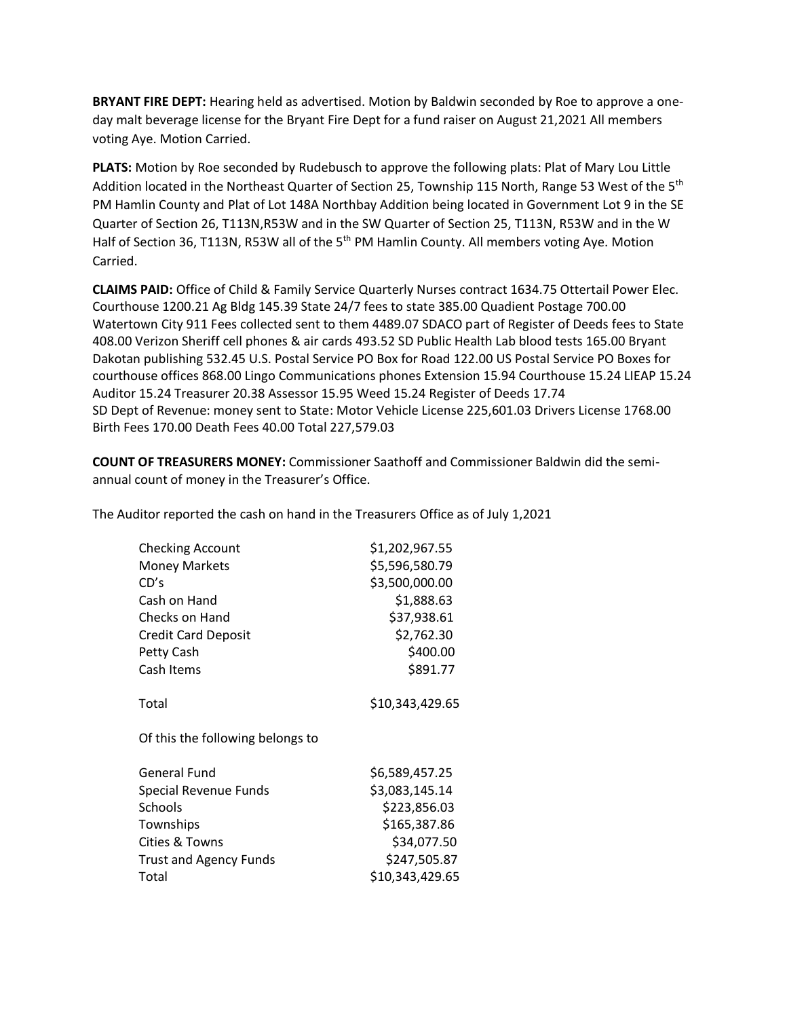**BRYANT FIRE DEPT:** Hearing held as advertised. Motion by Baldwin seconded by Roe to approve a oneday malt beverage license for the Bryant Fire Dept for a fund raiser on August 21,2021 All members voting Aye. Motion Carried.

**PLATS:** Motion by Roe seconded by Rudebusch to approve the following plats: Plat of Mary Lou Little Addition located in the Northeast Quarter of Section 25, Township 115 North, Range 53 West of the 5<sup>th</sup> PM Hamlin County and Plat of Lot 148A Northbay Addition being located in Government Lot 9 in the SE Quarter of Section 26, T113N,R53W and in the SW Quarter of Section 25, T113N, R53W and in the W Half of Section 36, T113N, R53W all of the 5<sup>th</sup> PM Hamlin County. All members voting Aye. Motion Carried.

**CLAIMS PAID:** Office of Child & Family Service Quarterly Nurses contract 1634.75 Ottertail Power Elec. Courthouse 1200.21 Ag Bldg 145.39 State 24/7 fees to state 385.00 Quadient Postage 700.00 Watertown City 911 Fees collected sent to them 4489.07 SDACO part of Register of Deeds fees to State 408.00 Verizon Sheriff cell phones & air cards 493.52 SD Public Health Lab blood tests 165.00 Bryant Dakotan publishing 532.45 U.S. Postal Service PO Box for Road 122.00 US Postal Service PO Boxes for courthouse offices 868.00 Lingo Communications phones Extension 15.94 Courthouse 15.24 LIEAP 15.24 Auditor 15.24 Treasurer 20.38 Assessor 15.95 Weed 15.24 Register of Deeds 17.74 SD Dept of Revenue: money sent to State: Motor Vehicle License 225,601.03 Drivers License 1768.00 Birth Fees 170.00 Death Fees 40.00 Total 227,579.03

**COUNT OF TREASURERS MONEY:** Commissioner Saathoff and Commissioner Baldwin did the semiannual count of money in the Treasurer's Office.

The Auditor reported the cash on hand in the Treasurers Office as of July 1,2021

| <b>Checking Account</b>          | \$1,202,967.55  |
|----------------------------------|-----------------|
| <b>Money Markets</b>             | \$5,596,580.79  |
| CD's                             | \$3,500,000.00  |
| Cash on Hand                     | \$1,888.63      |
| Checks on Hand                   | \$37,938.61     |
| <b>Credit Card Deposit</b>       | \$2,762.30      |
| Petty Cash                       | \$400.00        |
| Cash Items                       | \$891.77        |
| Total                            | \$10,343,429.65 |
| Of this the following belongs to |                 |
| <b>General Fund</b>              | \$6,589,457.25  |
| Special Revenue Funds            | \$3,083,145.14  |
| Schools                          | \$223,856.03    |
| Townships                        | \$165,387.86    |
| Cities & Towns                   | \$34,077.50     |
| <b>Trust and Agency Funds</b>    | \$247,505.87    |
| Total                            | \$10,343,429.65 |
|                                  |                 |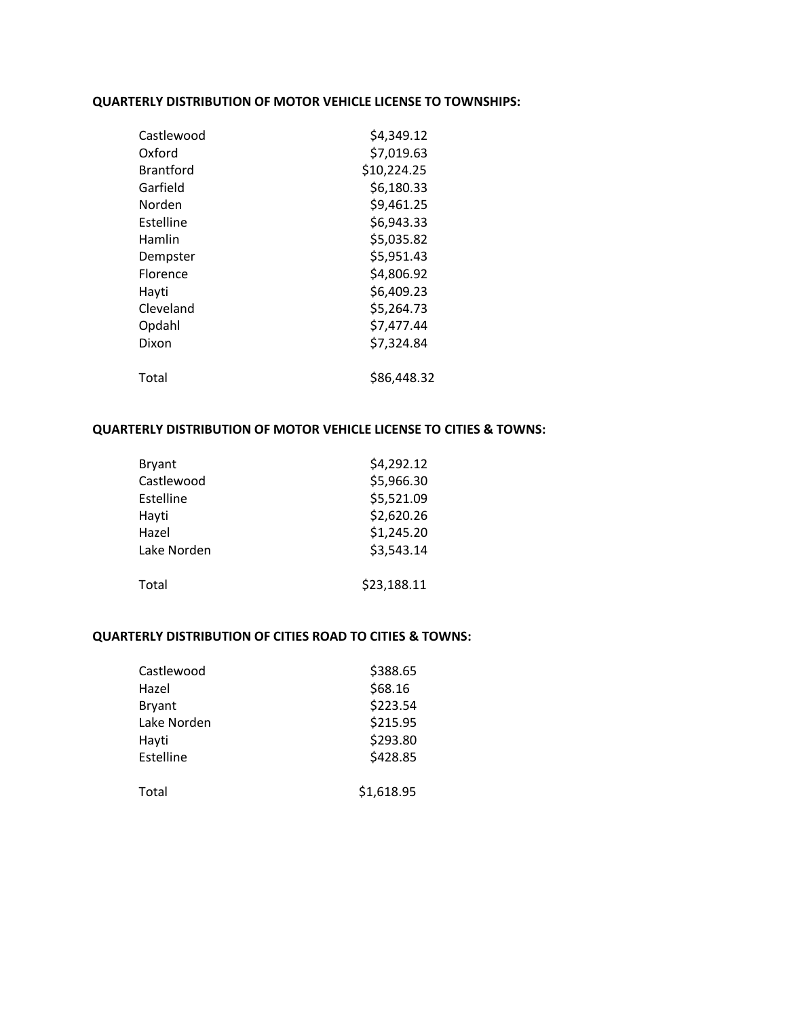## **QUARTERLY DISTRIBUTION OF MOTOR VEHICLE LICENSE TO TOWNSHIPS:**

| Castlewood       | \$4,349.12  |
|------------------|-------------|
| Oxford           | \$7,019.63  |
| <b>Brantford</b> | \$10,224.25 |
| Garfield         | \$6,180.33  |
| Norden           | \$9,461.25  |
| Estelline        | \$6,943.33  |
| Hamlin           | \$5,035.82  |
| Dempster         | \$5,951.43  |
| Florence         | \$4,806.92  |
| Hayti            | \$6,409.23  |
| Cleveland        | \$5,264.73  |
| Opdahl           | \$7,477.44  |
| Dixon            | \$7,324.84  |
| Total            | \$86,448.32 |

## **QUARTERLY DISTRIBUTION OF MOTOR VEHICLE LICENSE TO CITIES & TOWNS:**

| <b>Bryant</b> | \$4,292.12  |
|---------------|-------------|
| Castlewood    | \$5,966.30  |
| Estelline     | \$5,521.09  |
| Hayti         | \$2,620.26  |
| Hazel         | \$1,245.20  |
| Lake Norden   | \$3,543.14  |
|               |             |
| Total         | \$23,188.11 |

## **QUARTERLY DISTRIBUTION OF CITIES ROAD TO CITIES & TOWNS:**

| Castlewood    | \$388.65   |
|---------------|------------|
| Hazel         | \$68.16    |
| <b>Bryant</b> | \$223.54   |
| Lake Norden   | \$215.95   |
| Hayti         | \$293.80   |
| Estelline     | \$428.85   |
| Total         | \$1,618.95 |